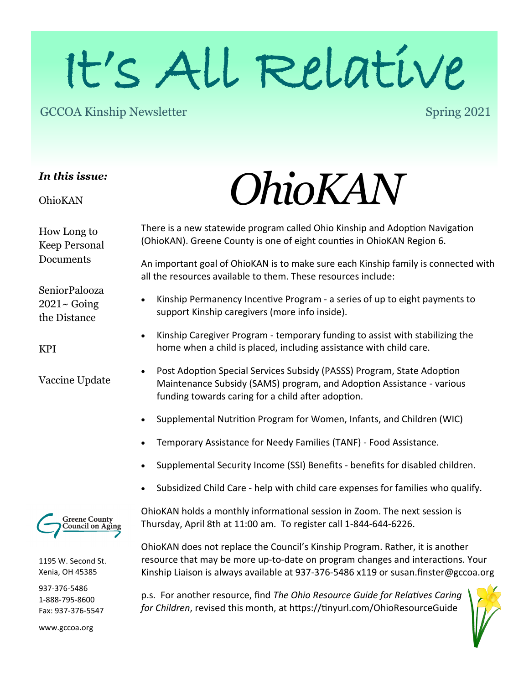# It's All Relative

#### GCCOA Kinship Newsletter

Spring 2021

#### *In this issue:*

OhioKAN

How Long to Keep Personal Documents

SeniorPalooza  $2021 \sim$  Going the Distance

KPI

Vaccine Update



1195 W. Second St. Xenia, OH 45385

937-376-5486 1-888-795-8600 Fax: 937-376-5547

www.gccoa.org

# *OhioKAN*

There is a new statewide program called Ohio Kinship and Adoption Navigation (OhioKAN). Greene County is one of eight counties in OhioKAN Region 6.

An important goal of OhioKAN is to make sure each Kinship family is connected with all the resources available to them. These resources include:

- Kinship Permanency Incentive Program a series of up to eight payments to support Kinship caregivers (more info inside).
- Kinship Caregiver Program temporary funding to assist with stabilizing the home when a child is placed, including assistance with child care.
- Post Adoption Special Services Subsidy (PASSS) Program, State Adoption Maintenance Subsidy (SAMS) program, and Adoption Assistance - various funding towards caring for a child after adoption.
- Supplemental Nutrition Program for Women, Infants, and Children (WIC)
- Temporary Assistance for Needy Families (TANF) Food Assistance.
- Supplemental Security Income (SSI) Benefits benefits for disabled children.
- Subsidized Child Care help with child care expenses for families who qualify.

OhioKAN holds a monthly informational session in Zoom. The next session is Thursday, April 8th at 11:00 am. To register call 1-844-644-6226.

OhioKAN does not replace the Council's Kinship Program. Rather, it is another resource that may be more up-to-date on program changes and interactions. Your Kinship Liaison is always available at 937-376-5486 x119 or susan.finster@gccoa.org

p.s. For another resource, find *The Ohio Resource Guide for Relatives Caring for Children*, revised this month, at https://tinyurl.com/OhioResourceGuide

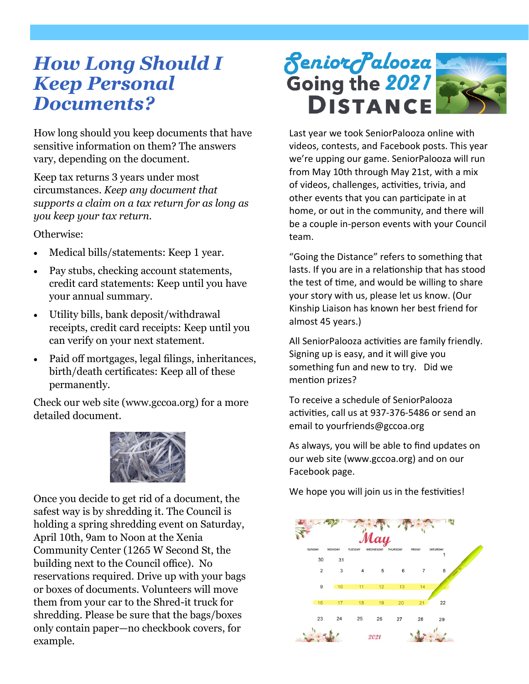#### *How Long Should I Keep Personal Documents?*

How long should you keep documents that have sensitive information on them? The answers vary, depending on the document.

Keep tax returns 3 years under most circumstances. *Keep any document that supports a claim on a tax return for as long as you keep your tax return.* 

Otherwise:

- Medical bills/statements: Keep 1 year.
- Pay stubs, checking account statements, credit card statements: Keep until you have your annual summary.
- Utility bills, bank deposit/withdrawal receipts, credit card receipts: Keep until you can verify on your next statement.
- Paid off mortgages, legal filings, inheritances, birth/death certificates: Keep all of these permanently.

Check our web site (www.gccoa.org) for a more detailed document.



Once you decide to get rid of a document, the safest way is by shredding it. The Council is holding a spring shredding event on Saturday, April 10th, 9am to Noon at the Xenia Community Center (1265 W Second St, the building next to the Council office). No reservations required. Drive up with your bags or boxes of documents. Volunteers will move them from your car to the Shred-it truck for shredding. Please be sure that the bags/boxes only contain paper—no checkbook covers, for example.



Last year we took SeniorPalooza online with videos, contests, and Facebook posts. This year we're upping our game. SeniorPalooza will run from May 10th through May 21st, with a mix of videos, challenges, activities, trivia, and other events that you can participate in at home, or out in the community, and there will be a couple in-person events with your Council team.

"Going the Distance" refers to something that lasts. If you are in a relationship that has stood the test of time, and would be willing to share your story with us, please let us know. (Our Kinship Liaison has known her best friend for almost 45 years.)

All SeniorPalooza activities are family friendly. Signing up is easy, and it will give you something fun and new to try. Did we mention prizes?

To receive a schedule of SeniorPalooza activities, call us at 937-376-5486 or send an email to yourfriends@gccoa.org

As always, you will be able to find updates on our web site (www.gccoa.org) and on our Facebook page.

We hope you will join us in the festivities!

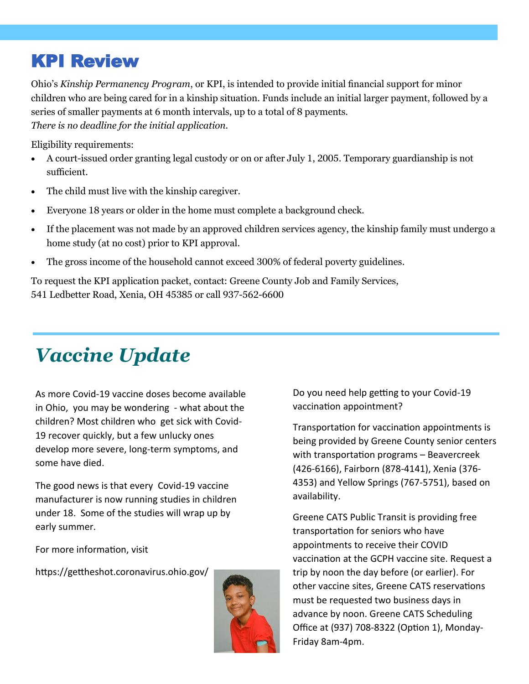#### KPI Review

Ohio's *Kinship Permanency Program*, or KPI, is intended to provide initial financial support for minor children who are being cared for in a kinship situation. Funds include an initial larger payment, followed by a series of smaller payments at 6 month intervals, up to a total of 8 payments. *There is no deadline for the initial application.* 

Eligibility requirements:

- A court-issued order granting legal custody or on or after July 1, 2005. Temporary guardianship is not sufficient.
- The child must live with the kinship caregiver.
- Everyone 18 years or older in the home must complete a background check.
- If the placement was not made by an approved children services agency, the kinship family must undergo a home study (at no cost) prior to KPI approval.
- The gross income of the household cannot exceed 300% of federal poverty guidelines.

To request the KPI application packet, contact: Greene County Job and Family Services, 541 Ledbetter Road, Xenia, OH 45385 or call 937-562-6600

### *Vaccine Update*

As more Covid-19 vaccine doses become available in Ohio, you may be wondering - what about the children? Most children who get sick with Covid-19 recover quickly, but a few unlucky ones develop more severe, long-term symptoms, and some have died.

The good news is that every Covid-19 vaccine manufacturer is now running studies in children under 18. Some of the studies will wrap up by early summer.

For more information, visit

https://gettheshot.coronavirus.ohio.gov/



Do you need help getting to your Covid-19 vaccination appointment?

Transportation for vaccination appointments is being provided by Greene County senior centers with transportation programs – Beavercreek (426-6166), Fairborn (878-4141), Xenia (376- 4353) and Yellow Springs (767-5751), based on availability.

Greene CATS Public Transit is providing free transportation for seniors who have appointments to receive their COVID vaccination at the GCPH vaccine site. Request a trip by noon the day before (or earlier). For other vaccine sites, Greene CATS reservations must be requested two business days in advance by noon. Greene CATS Scheduling Office at (937) 708-8322 (Option 1), Monday-Friday 8am-4pm.